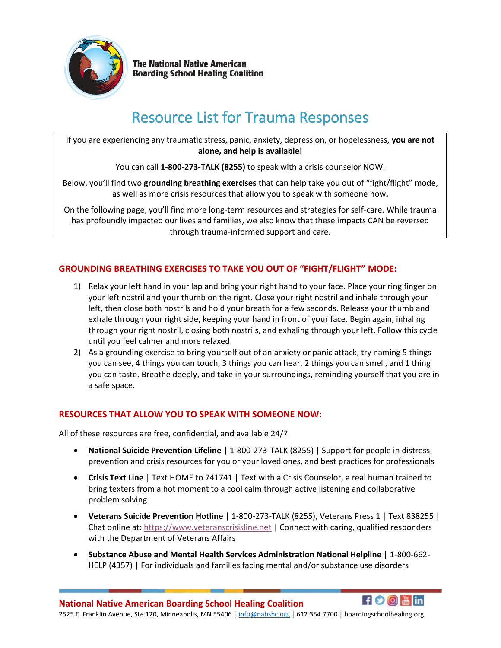

**The National Native American Boarding School Healing Coalition** 

# Resource List for Trauma Responses

If you are experiencing any traumatic stress, panic, anxiety, depression, or hopelessness, **you are not alone, and help is available!** 

You can call **1-800-273-TALK (8255)** to speak with a crisis counselor NOW.

Below, you'll find two **grounding breathing exercises** that can help take you out of "fight/flight" mode, as well as more crisis resources that allow you to speak with someone now**.**

On the following page, you'll find more long-term resources and strategies for self-care. While trauma has profoundly impacted our lives and families, we also know that these impacts CAN be reversed through trauma-informed support and care.

### **GROUNDING BREATHING EXERCISES TO TAKE YOU OUT OF "FIGHT/FLIGHT" MODE:**

- 1) Relax your left hand in your lap and bring your right hand to your face. Place your ring finger on your left nostril and your thumb on the right. Close your right nostril and inhale through your left, then close both nostrils and hold your breath for a few seconds. Release your thumb and exhale through your right side, keeping your hand in front of your face. Begin again, inhaling through your right nostril, closing both nostrils, and exhaling through your left. Follow this cycle until you feel calmer and more relaxed.
- 2) As a grounding exercise to bring yourself out of an anxiety or panic attack, try naming 5 things you can see, 4 things you can touch, 3 things you can hear, 2 things you can smell, and 1 thing you can taste. Breathe deeply, and take in your surroundings, reminding yourself that you are in a safe space.

#### **RESOURCES THAT ALLOW YOU TO SPEAK WITH SOMEONE NOW:**

All of these resources are free, confidential, and available 24/7.

- **National Suicide Prevention Lifeline** | 1-800-273-TALK (8255) | Support for people in distress, prevention and crisis resources for you or your loved ones, and best practices for professionals
- **Crisis Text Line** | Text HOME to 741741 | Text with a Crisis Counselor, a real human trained to bring texters from a hot moment to a cool calm through active listening and collaborative problem solving
- **Veterans Suicide Prevention Hotline** | 1-800-273-TALK (8255), Veterans Press 1 | Text 838255 | Chat online at: [https://www.veteranscrisisline.net](https://www.veteranscrisisline.net/?gclid=CjwKCAjwzqPcBRAnEiwAzKRgS2_ZWdHkS6hSg-vJsC5jEcm_GHR0qN-CgbLR7wywOZ9_zAEONjTodRoCx_4QAvD_BwE) | Connect with caring, qualified responders with the Department of Veterans Affairs
- **Substance Abuse and Mental Health Services Administration National Helpline** | 1-800-662- HELP (4357) | For individuals and families facing mental and/or substance use disorders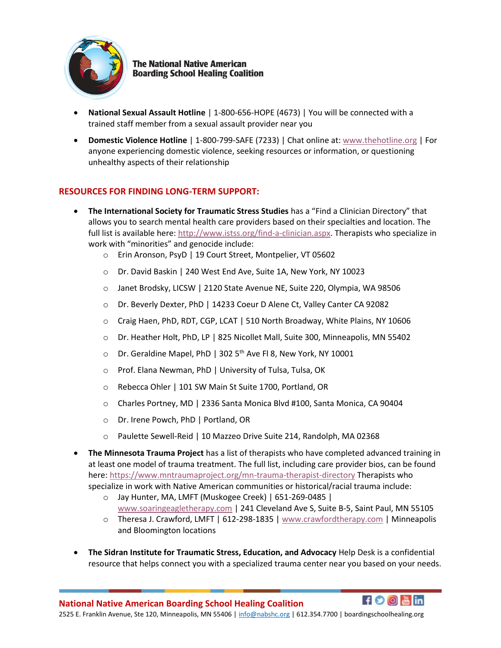

**The National Native American Boarding School Healing Coalition** 

- **National Sexual Assault Hotline** | 1-800-656-HOPE (4673) | You will be connected with a trained staff member from a sexual assault provider near you
- **Domestic Violence Hotline** | 1-800-799-SAFE (7233) | Chat online at: [www.thehotline.org](http://www.thehotline.org/) | For anyone experiencing domestic violence, seeking resources or information, or questioning unhealthy aspects of their relationship

#### **RESOURCES FOR FINDING LONG-TERM SUPPORT:**

- **The International Society for Traumatic Stress Studies** has a "Find a Clinician Directory" that allows you to search mental health care providers based on their specialties and location. The full list is available here[: http://www.istss.org/find-a-clinician.aspx.](http://www.istss.org/find-a-clinician.aspx) Therapists who specialize in work with "minorities" and genocide include:
	- o Erin Aronson, PsyD | 19 Court Street, Montpelier, VT 05602
	- o Dr. David Baskin | 240 West End Ave, Suite 1A, New York, NY 10023
	- o Janet Brodsky, LICSW | 2120 State Avenue NE, Suite 220, Olympia, WA 98506
	- o Dr. Beverly Dexter, PhD | 14233 Coeur D Alene Ct, Valley Canter CA 92082
	- o Craig Haen, PhD, RDT, CGP, LCAT | 510 North Broadway, White Plains, NY 10606
	- o Dr. Heather Holt, PhD, LP | 825 Nicollet Mall, Suite 300, Minneapolis, MN 55402
	- $\circ$  Dr. Geraldine Mapel, PhD | 302 5<sup>th</sup> Ave Fl 8, New York, NY 10001
	- o Prof. Elana Newman, PhD | University of Tulsa, Tulsa, OK
	- o Rebecca Ohler | 101 SW Main St Suite 1700, Portland, OR
	- o Charles Portney, MD | 2336 Santa Monica Blvd #100, Santa Monica, CA 90404
	- o Dr. Irene Powch, PhD | Portland, OR
	- o Paulette Sewell-Reid | 10 Mazzeo Drive Suite 214, Randolph, MA 02368
- **The Minnesota Trauma Project** has a list of therapists who have completed advanced training in at least one model of trauma treatment. The full list, including care provider bios, can be found here:<https://www.mntraumaproject.org/mn-trauma-therapist-directory> Therapists who specialize in work with Native American communities or historical/racial trauma include:
	- o Jay Hunter, MA, LMFT (Muskogee Creek) | 651-269-0485 | [www.soaringeagletherapy.com](http://www.soaringeagletherapy.com/) | 241 Cleveland Ave S, Suite B-5, Saint Paul, MN 55105
	- o Theresa J. Crawford, LMFT | 612-298-1835 [| www.crawfordtherapy.com](http://www.crawfordtherapy.com/) | Minneapolis and Bloomington locations
- **The Sidran Institute for Traumatic Stress, Education, and Advocacy** Help Desk is a confidential resource that helps connect you with a specialized trauma center near you based on your needs.